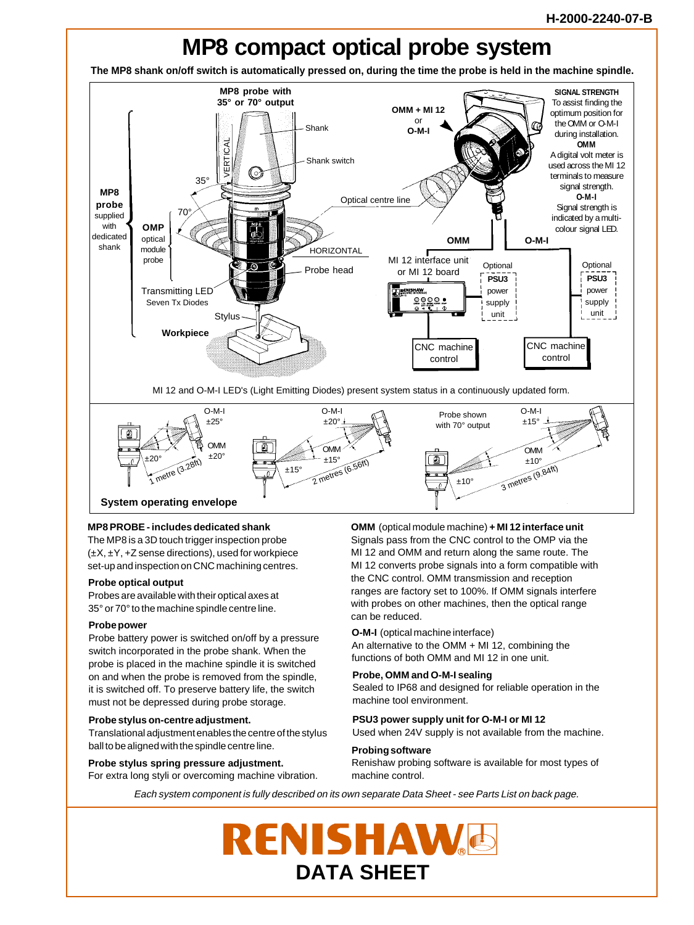

# **MP8 PROBE - includes dedicated shank**

The MP8 is a 3D touch trigger inspection probe  $(\pm X, \pm Y, +Z)$  sense directions), used for workpiece set-up and inspection on CNC machining centres.

#### **Probe optical output**

Probes are available with their optical axes at 35° or 70° to the machine spindle centre line.

# **Probe power**

Probe battery power is switched on/off by a pressure switch incorporated in the probe shank. When the probe is placed in the machine spindle it is switched on and when the probe is removed from the spindle, it is switched off. To preserve battery life, the switch must not be depressed during probe storage.

#### **Probe stylus on-centre adjustment.**

Translational adjustment enables the centre of the stylus ball to be aligned with the spindle centre line.

**Probe stylus spring pressure adjustment.** For extra long styli or overcoming machine vibration. **OMM** (optical module machine) **+ MI 12 interface unit** Signals pass from the CNC control to the OMP via the MI 12 and OMM and return along the same route. The MI 12 converts probe signals into a form compatible with the CNC control. OMM transmission and reception ranges are factory set to 100%. If OMM signals interfere with probes on other machines, then the optical range can be reduced.

#### **O-M-I** (optical machine interface)

An alternative to the OMM + MI 12, combining the functions of both OMM and MI 12 in one unit.

#### **Probe, OMM and O-M-I sealing**

Sealed to IP68 and designed for reliable operation in the machine tool environment.

# **PSU3 power supply unit for O-M-I or MI 12**

**Probing software** Used when 24V supply is not available from the machine.

### Renishaw probing software is available for most types of machine control.

Each system component is fully described on its own separate Data Sheet - see Parts List on back page.

# **ENISHAWE DATA SHEET**